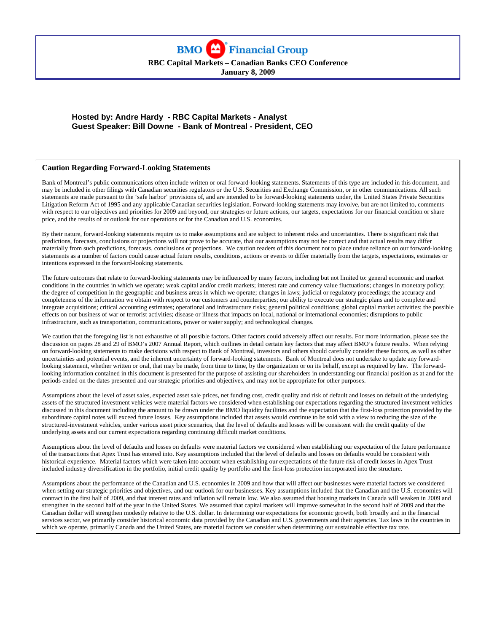

# **Hosted by: Andre Hardy - RBC Capital Markets - Analyst Guest Speaker: Bill Downe - Bank of Montreal - President, CEO**

#### **Caution Regarding Forward-Looking Statements**

Bank of Montreal's public communications often include written or oral forward-looking statements. Statements of this type are included in this document, and may be included in other filings with Canadian securities regulators or the U.S. Securities and Exchange Commission, or in other communications. All such statements are made pursuant to the 'safe harbor' provisions of, and are intended to be forward-looking statements under, the United States Private Securities Litigation Reform Act of 1995 and any applicable Canadian securities legislation. Forward-looking statements may involve, but are not limited to, comments with respect to our objectives and priorities for 2009 and beyond, our strategies or future actions, our targets, expectations for our financial condition or share price, and the results of or outlook for our operations or for the Canadian and U.S. economies.

By their nature, forward-looking statements require us to make assumptions and are subject to inherent risks and uncertainties. There is significant risk that predictions, forecasts, conclusions or projections will not prove to be accurate, that our assumptions may not be correct and that actual results may differ materially from such predictions, forecasts, conclusions or projections. We caution readers of this document not to place undue reliance on our forward-looking statements as a number of factors could cause actual future results, conditions, actions or events to differ materially from the targets, expectations, estimates or intentions expressed in the forward-looking statements.

The future outcomes that relate to forward-looking statements may be influenced by many factors, including but not limited to: general economic and market conditions in the countries in which we operate; weak capital and/or credit markets; interest rate and currency value fluctuations; changes in monetary policy; the degree of competition in the geographic and business areas in which we operate; changes in laws; judicial or regulatory proceedings; the accuracy and completeness of the information we obtain with respect to our customers and counterparties; our ability to execute our strategic plans and to complete and integrate acquisitions; critical accounting estimates; operational and infrastructure risks; general political conditions; global capital market activities; the possible effects on our business of war or terrorist activities; disease or illness that impacts on local, national or international economies; disruptions to public infrastructure, such as transportation, communications, power or water supply; and technological changes.

We caution that the foregoing list is not exhaustive of all possible factors. Other factors could adversely affect our results. For more information, please see the discussion on pages 28 and 29 of BMO's 2007 Annual Report, which outlines in detail certain key factors that may affect BMO's future results. When relying on forward-looking statements to make decisions with respect to Bank of Montreal, investors and others should carefully consider these factors, as well as other uncertainties and potential events, and the inherent uncertainty of forward-looking statements. Bank of Montreal does not undertake to update any forwardlooking statement, whether written or oral, that may be made, from time to time, by the organization or on its behalf, except as required by law. The forwardlooking information contained in this document is presented for the purpose of assisting our shareholders in understanding our financial position as at and for the periods ended on the dates presented and our strategic priorities and objectives, and may not be appropriate for other purposes.

Assumptions about the level of asset sales, expected asset sale prices, net funding cost, credit quality and risk of default and losses on default of the underlying assets of the structured investment vehicles were material factors we considered when establishing our expectations regarding the structured investment vehicles discussed in this document including the amount to be drawn under the BMO liquidity facilities and the expectation that the first-loss protection provided by the subordinate capital notes will exceed future losses. Key assumptions included that assets would continue to be sold with a view to reducing the size of the structured-investment vehicles, under various asset price scenarios, that the level of defaults and losses will be consistent with the credit quality of the underlying assets and our current expectations regarding continuing difficult market conditions.

Assumptions about the level of defaults and losses on defaults were material factors we considered when establishing our expectation of the future performance of the transactions that Apex Trust has entered into. Key assumptions included that the level of defaults and losses on defaults would be consistent with historical experience. Material factors which were taken into account when establishing our expectations of the future risk of credit losses in Apex Trust included industry diversification in the portfolio, initial credit quality by portfolio and the first-loss protection incorporated into the structure.

Assumptions about the performance of the Canadian and U.S. economies in 2009 and how that will affect our businesses were material factors we considered when setting our strategic priorities and objectives, and our outlook for our businesses. Key assumptions included that the Canadian and the U.S. economies will contract in the first half of 2009, and that interest rates and inflation will remain low. We also assumed that housing markets in Canada will weaken in 2009 and strengthen in the second half of the year in the United States. We assumed that capital markets will improve somewhat in the second half of 2009 and that the Canadian dollar will strengthen modestly relative to the U.S. dollar. In determining our expectations for economic growth, both broadly and in the financial services sector, we primarily consider historical economic data provided by the Canadian and U.S. governments and their agencies. Tax laws in the countries in which we operate, primarily Canada and the United States, are material factors we consider when determining our sustainable effective tax rate.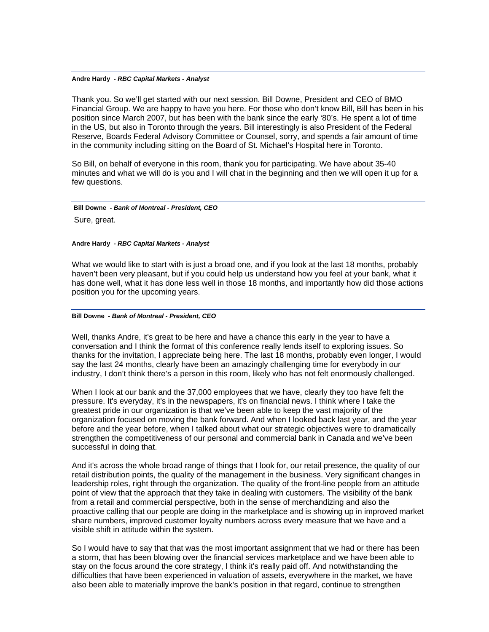Thank you. So we'll get started with our next session. Bill Downe, President and CEO of BMO Financial Group. We are happy to have you here. For those who don't know Bill, Bill has been in his position since March 2007, but has been with the bank since the early '80's. He spent a lot of time in the US, but also in Toronto through the years. Bill interestingly is also President of the Federal Reserve, Boards Federal Advisory Committee or Counsel, sorry, and spends a fair amount of time in the community including sitting on the Board of St. Michael's Hospital here in Toronto.

So Bill, on behalf of everyone in this room, thank you for participating. We have about 35-40 minutes and what we will do is you and I will chat in the beginning and then we will open it up for a few questions.

 **Bill Downe** *- Bank of Montreal - President, CEO*  Sure, great.

**Andre Hardy** *- RBC Capital Markets - Analyst* 

What we would like to start with is just a broad one, and if you look at the last 18 months, probably haven't been very pleasant, but if you could help us understand how you feel at your bank, what it has done well, what it has done less well in those 18 months, and importantly how did those actions position you for the upcoming years.

#### **Bill Downe** *- Bank of Montreal - President, CEO*

Well, thanks Andre, it's great to be here and have a chance this early in the year to have a conversation and I think the format of this conference really lends itself to exploring issues. So thanks for the invitation, I appreciate being here. The last 18 months, probably even longer, I would say the last 24 months, clearly have been an amazingly challenging time for everybody in our industry, I don't think there's a person in this room, likely who has not felt enormously challenged.

When I look at our bank and the 37,000 employees that we have, clearly they too have felt the pressure. It's everyday, it's in the newspapers, it's on financial news. I think where I take the greatest pride in our organization is that we've been able to keep the vast majority of the organization focused on moving the bank forward. And when I looked back last year, and the year before and the year before, when I talked about what our strategic objectives were to dramatically strengthen the competitiveness of our personal and commercial bank in Canada and we've been successful in doing that.

And it's across the whole broad range of things that I look for, our retail presence, the quality of our retail distribution points, the quality of the management in the business. Very significant changes in leadership roles, right through the organization. The quality of the front-line people from an attitude point of view that the approach that they take in dealing with customers. The visibility of the bank from a retail and commercial perspective, both in the sense of merchandizing and also the proactive calling that our people are doing in the marketplace and is showing up in improved market share numbers, improved customer loyalty numbers across every measure that we have and a visible shift in attitude within the system.

So I would have to say that that was the most important assignment that we had or there has been a storm, that has been blowing over the financial services marketplace and we have been able to stay on the focus around the core strategy, I think it's really paid off. And notwithstanding the difficulties that have been experienced in valuation of assets, everywhere in the market, we have also been able to materially improve the bank's position in that regard, continue to strengthen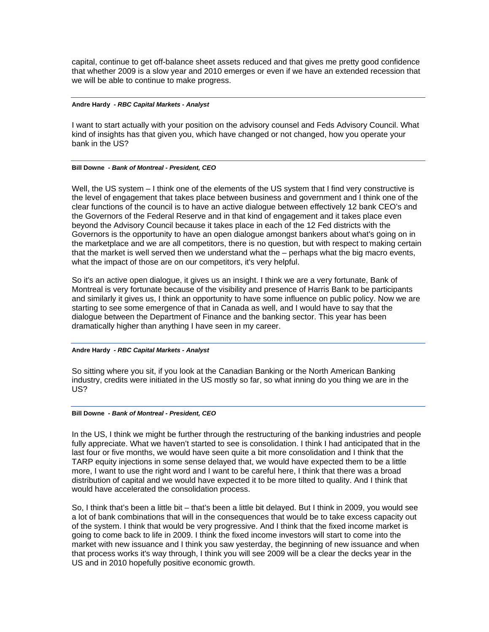capital, continue to get off-balance sheet assets reduced and that gives me pretty good confidence that whether 2009 is a slow year and 2010 emerges or even if we have an extended recession that we will be able to continue to make progress.

## **Andre Hardy** *- RBC Capital Markets - Analyst*

I want to start actually with your position on the advisory counsel and Feds Advisory Council. What kind of insights has that given you, which have changed or not changed, how you operate your bank in the US?

## **Bill Downe** *- Bank of Montreal - President, CEO*

Well, the US system – I think one of the elements of the US system that I find very constructive is the level of engagement that takes place between business and government and I think one of the clear functions of the council is to have an active dialogue between effectively 12 bank CEO's and the Governors of the Federal Reserve and in that kind of engagement and it takes place even beyond the Advisory Council because it takes place in each of the 12 Fed districts with the Governors is the opportunity to have an open dialogue amongst bankers about what's going on in the marketplace and we are all competitors, there is no question, but with respect to making certain that the market is well served then we understand what the – perhaps what the big macro events, what the impact of those are on our competitors, it's very helpful.

So it's an active open dialogue, it gives us an insight. I think we are a very fortunate, Bank of Montreal is very fortunate because of the visibility and presence of Harris Bank to be participants and similarly it gives us, I think an opportunity to have some influence on public policy. Now we are starting to see some emergence of that in Canada as well, and I would have to say that the dialogue between the Department of Finance and the banking sector. This year has been dramatically higher than anything I have seen in my career.

## **Andre Hardy** *- RBC Capital Markets - Analyst*

So sitting where you sit, if you look at the Canadian Banking or the North American Banking industry, credits were initiated in the US mostly so far, so what inning do you thing we are in the US?

## **Bill Downe** *- Bank of Montreal - President, CEO*

In the US, I think we might be further through the restructuring of the banking industries and people fully appreciate. What we haven't started to see is consolidation. I think I had anticipated that in the last four or five months, we would have seen quite a bit more consolidation and I think that the TARP equity injections in some sense delayed that, we would have expected them to be a little more, I want to use the right word and I want to be careful here, I think that there was a broad distribution of capital and we would have expected it to be more tilted to quality. And I think that would have accelerated the consolidation process.

So, I think that's been a little bit – that's been a little bit delayed. But I think in 2009, you would see a lot of bank combinations that will in the consequences that would be to take excess capacity out of the system. I think that would be very progressive. And I think that the fixed income market is going to come back to life in 2009. I think the fixed income investors will start to come into the market with new issuance and I think you saw yesterday, the beginning of new issuance and when that process works it's way through, I think you will see 2009 will be a clear the decks year in the US and in 2010 hopefully positive economic growth.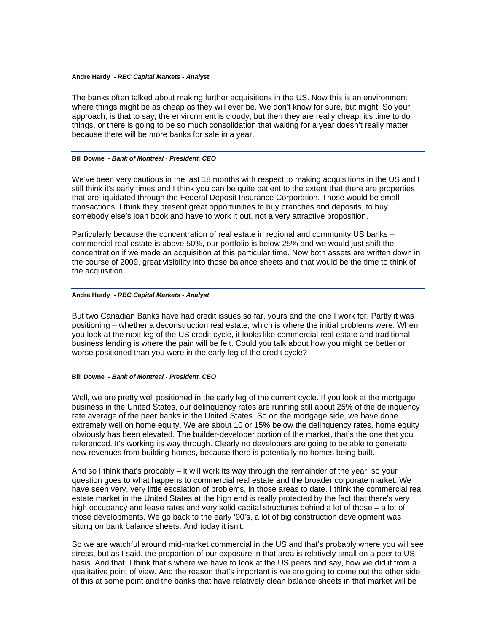The banks often talked about making further acquisitions in the US. Now this is an environment where things might be as cheap as they will ever be. We don't know for sure, but might. So your approach, is that to say, the environment is cloudy, but then they are really cheap, it's time to do things, or there is going to be so much consolidation that waiting for a year doesn't really matter because there will be more banks for sale in a year.

#### **Bill Downe** *- Bank of Montreal - President, CEO*

We've been very cautious in the last 18 months with respect to making acquisitions in the US and I still think it's early times and I think you can be quite patient to the extent that there are properties that are liquidated through the Federal Deposit Insurance Corporation. Those would be small transactions. I think they present great opportunities to buy branches and deposits, to buy somebody else's loan book and have to work it out, not a very attractive proposition.

Particularly because the concentration of real estate in regional and community US banks – commercial real estate is above 50%, our portfolio is below 25% and we would just shift the concentration if we made an acquisition at this particular time. Now both assets are written down in the course of 2009, great visibility into those balance sheets and that would be the time to think of the acquisition.

## **Andre Hardy** *- RBC Capital Markets - Analyst*

But two Canadian Banks have had credit issues so far, yours and the one I work for. Partly it was positioning – whether a deconstruction real estate, which is where the initial problems were. When you look at the next leg of the US credit cycle, it looks like commercial real estate and traditional business lending is where the pain will be felt. Could you talk about how you might be better or worse positioned than you were in the early leg of the credit cycle?

#### **Bill Downe** *- Bank of Montreal - President, CEO*

Well, we are pretty well positioned in the early leg of the current cycle. If you look at the mortgage business in the United States, our delinquency rates are running still about 25% of the delinquency rate average of the peer banks in the United States. So on the mortgage side, we have done extremely well on home equity. We are about 10 or 15% below the delinquency rates, home equity obviously has been elevated. The builder-developer portion of the market, that's the one that you referenced. It's working its way through. Clearly no developers are going to be able to generate new revenues from building homes, because there is potentially no homes being built.

And so I think that's probably – it will work its way through the remainder of the year, so your question goes to what happens to commercial real estate and the broader corporate market. We have seen very, very little escalation of problems, in those areas to date. I think the commercial real estate market in the United States at the high end is really protected by the fact that there's very high occupancy and lease rates and very solid capital structures behind a lot of those – a lot of those developments. We go back to the early '90's, a lot of big construction development was sitting on bank balance sheets. And today it isn't.

So we are watchful around mid-market commercial in the US and that's probably where you will see stress, but as I said, the proportion of our exposure in that area is relatively small on a peer to US basis. And that, I think that's where we have to look at the US peers and say, how we did it from a qualitative point of view. And the reason that's important is we are going to come out the other side of this at some point and the banks that have relatively clean balance sheets in that market will be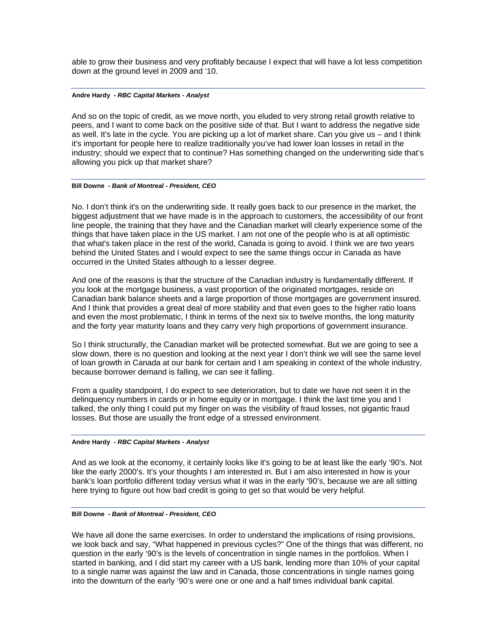able to grow their business and very profitably because I expect that will have a lot less competition down at the ground level in 2009 and '10.

## **Andre Hardy** *- RBC Capital Markets - Analyst*

And so on the topic of credit, as we move north, you eluded to very strong retail growth relative to peers, and I want to come back on the positive side of that. But I want to address the negative side as well. It's late in the cycle. You are picking up a lot of market share. Can you give us – and I think it's important for people here to realize traditionally you've had lower loan losses in retail in the industry; should we expect that to continue? Has something changed on the underwriting side that's allowing you pick up that market share?

## **Bill Downe** *- Bank of Montreal - President, CEO*

No. I don't think it's on the underwriting side. It really goes back to our presence in the market, the biggest adjustment that we have made is in the approach to customers, the accessibility of our front line people, the training that they have and the Canadian market will clearly experience some of the things that have taken place in the US market. I am not one of the people who is at all optimistic that what's taken place in the rest of the world, Canada is going to avoid. I think we are two years behind the United States and I would expect to see the same things occur in Canada as have occurred in the United States although to a lesser degree.

And one of the reasons is that the structure of the Canadian industry is fundamentally different. If you look at the mortgage business, a vast proportion of the originated mortgages, reside on Canadian bank balance sheets and a large proportion of those mortgages are government insured. And I think that provides a great deal of more stability and that even goes to the higher ratio loans and even the most problematic, I think in terms of the next six to twelve months, the long maturity and the forty year maturity loans and they carry very high proportions of government insurance.

So I think structurally, the Canadian market will be protected somewhat. But we are going to see a slow down, there is no question and looking at the next year I don't think we will see the same level of loan growth in Canada at our bank for certain and I am speaking in context of the whole industry, because borrower demand is falling, we can see it falling.

From a quality standpoint, I do expect to see deterioration, but to date we have not seen it in the delinquency numbers in cards or in home equity or in mortgage. I think the last time you and I talked, the only thing I could put my finger on was the visibility of fraud losses, not gigantic fraud losses. But those are usually the front edge of a stressed environment.

## **Andre Hardy** *- RBC Capital Markets - Analyst*

And as we look at the economy, it certainly looks like it's going to be at least like the early '90's. Not like the early 2000's. It's your thoughts I am interested in. But I am also interested in how is your bank's loan portfolio different today versus what it was in the early '90's, because we are all sitting here trying to figure out how bad credit is going to get so that would be very helpful.

#### **Bill Downe** *- Bank of Montreal - President, CEO*

We have all done the same exercises. In order to understand the implications of rising provisions, we look back and say, "What happened in previous cycles?" One of the things that was different, no question in the early '90's is the levels of concentration in single names in the portfolios. When I started in banking, and I did start my career with a US bank, lending more than 10% of your capital to a single name was against the law and in Canada, those concentrations in single names going into the downturn of the early '90's were one or one and a half times individual bank capital.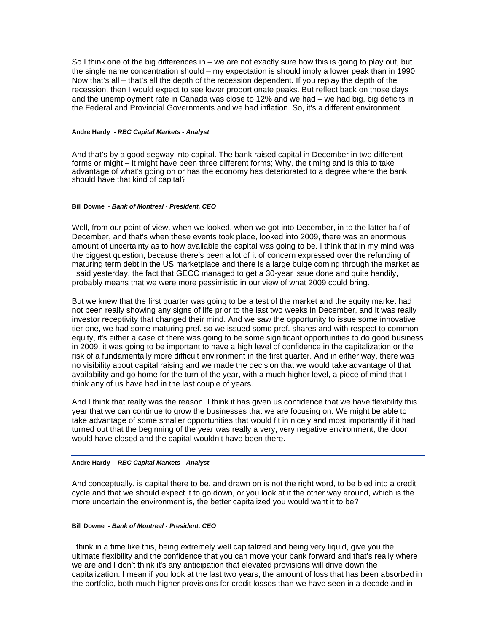So I think one of the big differences in – we are not exactly sure how this is going to play out, but the single name concentration should – my expectation is should imply a lower peak than in 1990. Now that's all – that's all the depth of the recession dependent. If you replay the depth of the recession, then I would expect to see lower proportionate peaks. But reflect back on those days and the unemployment rate in Canada was close to 12% and we had – we had big, big deficits in the Federal and Provincial Governments and we had inflation. So, it's a different environment.

## **Andre Hardy** *- RBC Capital Markets - Analyst*

And that's by a good segway into capital. The bank raised capital in December in two different forms or might – it might have been three different forms; Why, the timing and is this to take advantage of what's going on or has the economy has deteriorated to a degree where the bank should have that kind of capital?

## **Bill Downe** *- Bank of Montreal - President, CEO*

Well, from our point of view, when we looked, when we got into December, in to the latter half of December, and that's when these events took place, looked into 2009, there was an enormous amount of uncertainty as to how available the capital was going to be. I think that in my mind was the biggest question, because there's been a lot of it of concern expressed over the refunding of maturing term debt in the US marketplace and there is a large bulge coming through the market as I said yesterday, the fact that GECC managed to get a 30-year issue done and quite handily, probably means that we were more pessimistic in our view of what 2009 could bring.

But we knew that the first quarter was going to be a test of the market and the equity market had not been really showing any signs of life prior to the last two weeks in December, and it was really investor receptivity that changed their mind. And we saw the opportunity to issue some innovative tier one, we had some maturing pref. so we issued some pref. shares and with respect to common equity, it's either a case of there was going to be some significant opportunities to do good business in 2009, it was going to be important to have a high level of confidence in the capitalization or the risk of a fundamentally more difficult environment in the first quarter. And in either way, there was no visibility about capital raising and we made the decision that we would take advantage of that availability and go home for the turn of the year, with a much higher level, a piece of mind that I think any of us have had in the last couple of years.

And I think that really was the reason. I think it has given us confidence that we have flexibility this year that we can continue to grow the businesses that we are focusing on. We might be able to take advantage of some smaller opportunities that would fit in nicely and most importantly if it had turned out that the beginning of the year was really a very, very negative environment, the door would have closed and the capital wouldn't have been there.

#### **Andre Hardy** *- RBC Capital Markets - Analyst*

And conceptually, is capital there to be, and drawn on is not the right word, to be bled into a credit cycle and that we should expect it to go down, or you look at it the other way around, which is the more uncertain the environment is, the better capitalized you would want it to be?

## **Bill Downe** *- Bank of Montreal - President, CEO*

I think in a time like this, being extremely well capitalized and being very liquid, give you the ultimate flexibility and the confidence that you can move your bank forward and that's really where we are and I don't think it's any anticipation that elevated provisions will drive down the capitalization. I mean if you look at the last two years, the amount of loss that has been absorbed in the portfolio, both much higher provisions for credit losses than we have seen in a decade and in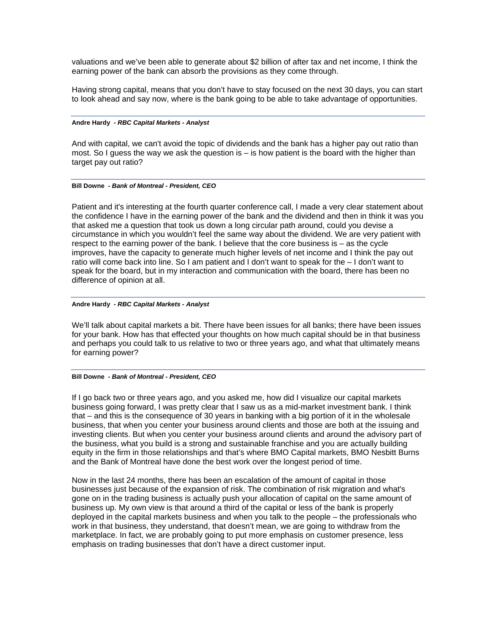valuations and we've been able to generate about \$2 billion of after tax and net income, I think the earning power of the bank can absorb the provisions as they come through.

Having strong capital, means that you don't have to stay focused on the next 30 days, you can start to look ahead and say now, where is the bank going to be able to take advantage of opportunities.

## **Andre Hardy** *- RBC Capital Markets - Analyst*

And with capital, we can't avoid the topic of dividends and the bank has a higher pay out ratio than most. So I guess the way we ask the question is  $-$  is how patient is the board with the higher than target pay out ratio?

## **Bill Downe** *- Bank of Montreal - President, CEO*

Patient and it's interesting at the fourth quarter conference call, I made a very clear statement about the confidence I have in the earning power of the bank and the dividend and then in think it was you that asked me a question that took us down a long circular path around, could you devise a circumstance in which you wouldn't feel the same way about the dividend. We are very patient with respect to the earning power of the bank. I believe that the core business is – as the cycle improves, have the capacity to generate much higher levels of net income and I think the pay out ratio will come back into line. So I am patient and I don't want to speak for the – I don't want to speak for the board, but in my interaction and communication with the board, there has been no difference of opinion at all.

## **Andre Hardy** *- RBC Capital Markets - Analyst*

We'll talk about capital markets a bit. There have been issues for all banks; there have been issues for your bank. How has that effected your thoughts on how much capital should be in that business and perhaps you could talk to us relative to two or three years ago, and what that ultimately means for earning power?

#### **Bill Downe** *- Bank of Montreal - President, CEO*

If I go back two or three years ago, and you asked me, how did I visualize our capital markets business going forward, I was pretty clear that I saw us as a mid-market investment bank. I think that – and this is the consequence of 30 years in banking with a big portion of it in the wholesale business, that when you center your business around clients and those are both at the issuing and investing clients. But when you center your business around clients and around the advisory part of the business, what you build is a strong and sustainable franchise and you are actually building equity in the firm in those relationships and that's where BMO Capital markets, BMO Nesbitt Burns and the Bank of Montreal have done the best work over the longest period of time.

Now in the last 24 months, there has been an escalation of the amount of capital in those businesses just because of the expansion of risk. The combination of risk migration and what's gone on in the trading business is actually push your allocation of capital on the same amount of business up. My own view is that around a third of the capital or less of the bank is properly deployed in the capital markets business and when you talk to the people – the professionals who work in that business, they understand, that doesn't mean, we are going to withdraw from the marketplace. In fact, we are probably going to put more emphasis on customer presence, less emphasis on trading businesses that don't have a direct customer input.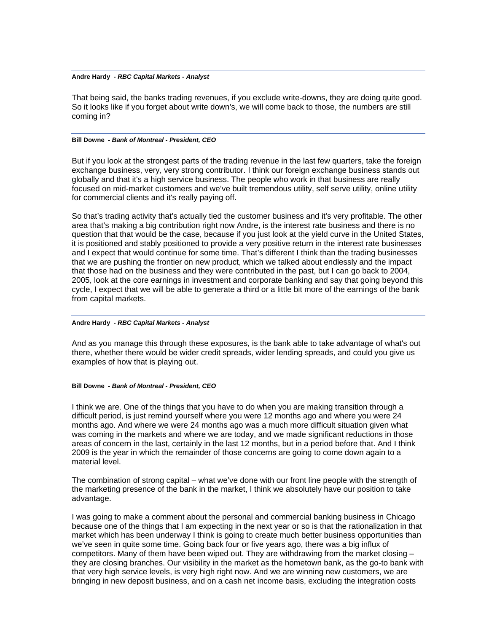That being said, the banks trading revenues, if you exclude write-downs, they are doing quite good. So it looks like if you forget about write down's, we will come back to those, the numbers are still coming in?

#### **Bill Downe** *- Bank of Montreal - President, CEO*

But if you look at the strongest parts of the trading revenue in the last few quarters, take the foreign exchange business, very, very strong contributor. I think our foreign exchange business stands out globally and that it's a high service business. The people who work in that business are really focused on mid-market customers and we've built tremendous utility, self serve utility, online utility for commercial clients and it's really paying off.

So that's trading activity that's actually tied the customer business and it's very profitable. The other area that's making a big contribution right now Andre, is the interest rate business and there is no question that that would be the case, because if you just look at the yield curve in the United States, it is positioned and stably positioned to provide a very positive return in the interest rate businesses and I expect that would continue for some time. That's different I think than the trading businesses that we are pushing the frontier on new product, which we talked about endlessly and the impact that those had on the business and they were contributed in the past, but I can go back to 2004, 2005, look at the core earnings in investment and corporate banking and say that going beyond this cycle, I expect that we will be able to generate a third or a little bit more of the earnings of the bank from capital markets.

#### **Andre Hardy** *- RBC Capital Markets - Analyst*

And as you manage this through these exposures, is the bank able to take advantage of what's out there, whether there would be wider credit spreads, wider lending spreads, and could you give us examples of how that is playing out.

#### **Bill Downe** *- Bank of Montreal - President, CEO*

I think we are. One of the things that you have to do when you are making transition through a difficult period, is just remind yourself where you were 12 months ago and where you were 24 months ago. And where we were 24 months ago was a much more difficult situation given what was coming in the markets and where we are today, and we made significant reductions in those areas of concern in the last, certainly in the last 12 months, but in a period before that. And I think 2009 is the year in which the remainder of those concerns are going to come down again to a material level.

The combination of strong capital – what we've done with our front line people with the strength of the marketing presence of the bank in the market, I think we absolutely have our position to take advantage.

I was going to make a comment about the personal and commercial banking business in Chicago because one of the things that I am expecting in the next year or so is that the rationalization in that market which has been underway I think is going to create much better business opportunities than we've seen in quite some time. Going back four or five years ago, there was a big influx of competitors. Many of them have been wiped out. They are withdrawing from the market closing – they are closing branches. Our visibility in the market as the hometown bank, as the go-to bank with that very high service levels, is very high right now. And we are winning new customers, we are bringing in new deposit business, and on a cash net income basis, excluding the integration costs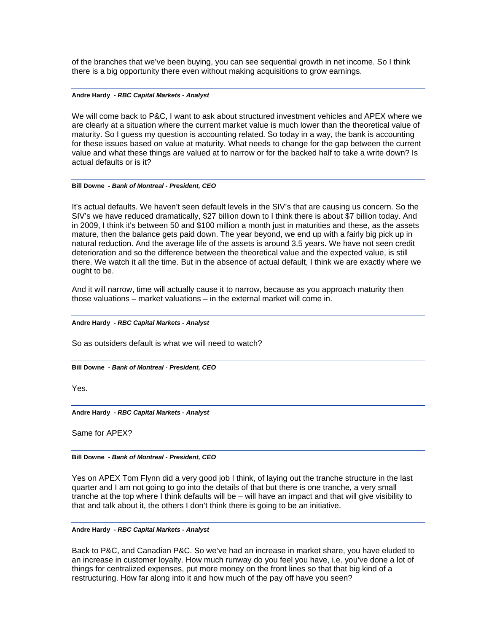of the branches that we've been buying, you can see sequential growth in net income. So I think there is a big opportunity there even without making acquisitions to grow earnings.

## **Andre Hardy** *- RBC Capital Markets - Analyst*

We will come back to P&C, I want to ask about structured investment vehicles and APEX where we are clearly at a situation where the current market value is much lower than the theoretical value of maturity. So I guess my question is accounting related. So today in a way, the bank is accounting for these issues based on value at maturity. What needs to change for the gap between the current value and what these things are valued at to narrow or for the backed half to take a write down? Is actual defaults or is it?

## **Bill Downe** *- Bank of Montreal - President, CEO*

It's actual defaults. We haven't seen default levels in the SIV's that are causing us concern. So the SIV's we have reduced dramatically, \$27 billion down to I think there is about \$7 billion today. And in 2009, I think it's between 50 and \$100 million a month just in maturities and these, as the assets mature, then the balance gets paid down. The year beyond, we end up with a fairly big pick up in natural reduction. And the average life of the assets is around 3.5 years. We have not seen credit deterioration and so the difference between the theoretical value and the expected value, is still there. We watch it all the time. But in the absence of actual default, I think we are exactly where we ought to be.

And it will narrow, time will actually cause it to narrow, because as you approach maturity then those valuations – market valuations – in the external market will come in.

## **Andre Hardy** *- RBC Capital Markets - Analyst*

So as outsiders default is what we will need to watch?

## **Bill Downe** *- Bank of Montreal - President, CEO*

Yes.

**Andre Hardy** *- RBC Capital Markets - Analyst* 

Same for APEX?

**Bill Downe** *- Bank of Montreal - President, CEO* 

Yes on APEX Tom Flynn did a very good job I think, of laying out the tranche structure in the last quarter and I am not going to go into the details of that but there is one tranche, a very small tranche at the top where I think defaults will be – will have an impact and that will give visibility to that and talk about it, the others I don't think there is going to be an initiative.

#### **Andre Hardy** *- RBC Capital Markets - Analyst*

Back to P&C, and Canadian P&C. So we've had an increase in market share, you have eluded to an increase in customer loyalty. How much runway do you feel you have, i.e. you've done a lot of things for centralized expenses, put more money on the front lines so that that big kind of a restructuring. How far along into it and how much of the pay off have you seen?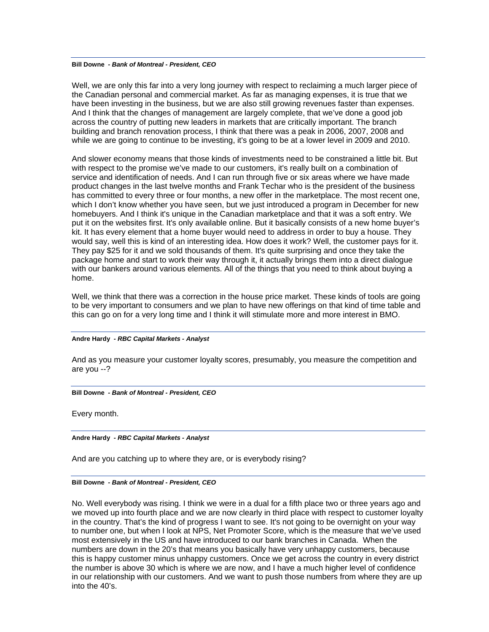## **Bill Downe** *- Bank of Montreal - President, CEO*

Well, we are only this far into a very long journey with respect to reclaiming a much larger piece of the Canadian personal and commercial market. As far as managing expenses, it is true that we have been investing in the business, but we are also still growing revenues faster than expenses. And I think that the changes of management are largely complete, that we've done a good job across the country of putting new leaders in markets that are critically important. The branch building and branch renovation process, I think that there was a peak in 2006, 2007, 2008 and while we are going to continue to be investing, it's going to be at a lower level in 2009 and 2010.

And slower economy means that those kinds of investments need to be constrained a little bit. But with respect to the promise we've made to our customers, it's really built on a combination of service and identification of needs. And I can run through five or six areas where we have made product changes in the last twelve months and Frank Techar who is the president of the business has committed to every three or four months, a new offer in the marketplace. The most recent one, which I don't know whether you have seen, but we just introduced a program in December for new homebuyers. And I think it's unique in the Canadian marketplace and that it was a soft entry. We put it on the websites first. It's only available online. But it basically consists of a new home buyer's kit. It has every element that a home buyer would need to address in order to buy a house. They would say, well this is kind of an interesting idea. How does it work? Well, the customer pays for it. They pay \$25 for it and we sold thousands of them. It's quite surprising and once they take the package home and start to work their way through it, it actually brings them into a direct dialogue with our bankers around various elements. All of the things that you need to think about buying a home.

Well, we think that there was a correction in the house price market. These kinds of tools are going to be very important to consumers and we plan to have new offerings on that kind of time table and this can go on for a very long time and I think it will stimulate more and more interest in BMO.

#### **Andre Hardy** *- RBC Capital Markets - Analyst*

And as you measure your customer loyalty scores, presumably, you measure the competition and are you --?

#### **Bill Downe** *- Bank of Montreal - President, CEO*

Every month.

## **Andre Hardy** *- RBC Capital Markets - Analyst*

And are you catching up to where they are, or is everybody rising?

#### **Bill Downe** *- Bank of Montreal - President, CEO*

No. Well everybody was rising. I think we were in a dual for a fifth place two or three years ago and we moved up into fourth place and we are now clearly in third place with respect to customer loyalty in the country. That's the kind of progress I want to see. It's not going to be overnight on your way to number one, but when I look at NPS, Net Promoter Score, which is the measure that we've used most extensively in the US and have introduced to our bank branches in Canada. When the numbers are down in the 20's that means you basically have very unhappy customers, because this is happy customer minus unhappy customers. Once we get across the country in every district the number is above 30 which is where we are now, and I have a much higher level of confidence in our relationship with our customers. And we want to push those numbers from where they are up into the 40's.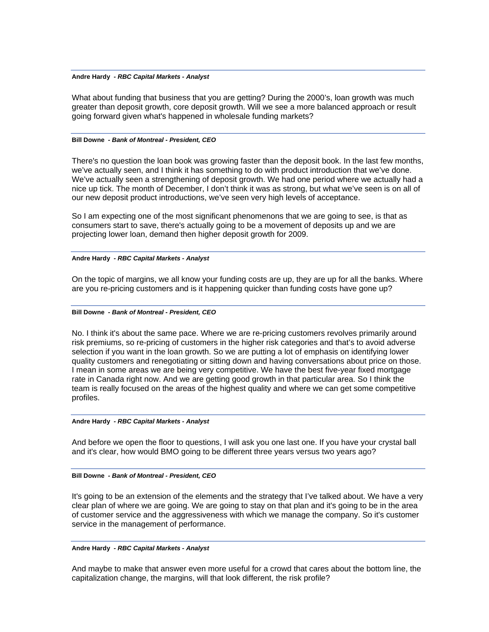What about funding that business that you are getting? During the 2000's, loan growth was much greater than deposit growth, core deposit growth. Will we see a more balanced approach or result going forward given what's happened in wholesale funding markets?

## **Bill Downe** *- Bank of Montreal - President, CEO*

There's no question the loan book was growing faster than the deposit book. In the last few months, we've actually seen, and I think it has something to do with product introduction that we've done. We've actually seen a strengthening of deposit growth. We had one period where we actually had a nice up tick. The month of December, I don't think it was as strong, but what we've seen is on all of our new deposit product introductions, we've seen very high levels of acceptance.

So I am expecting one of the most significant phenomenons that we are going to see, is that as consumers start to save, there's actually going to be a movement of deposits up and we are projecting lower loan, demand then higher deposit growth for 2009.

# **Andre Hardy** *- RBC Capital Markets - Analyst*

On the topic of margins, we all know your funding costs are up, they are up for all the banks. Where are you re-pricing customers and is it happening quicker than funding costs have gone up?

## **Bill Downe** *- Bank of Montreal - President, CEO*

No. I think it's about the same pace. Where we are re-pricing customers revolves primarily around risk premiums, so re-pricing of customers in the higher risk categories and that's to avoid adverse selection if you want in the loan growth. So we are putting a lot of emphasis on identifying lower quality customers and renegotiating or sitting down and having conversations about price on those. I mean in some areas we are being very competitive. We have the best five-year fixed mortgage rate in Canada right now. And we are getting good growth in that particular area. So I think the team is really focused on the areas of the highest quality and where we can get some competitive profiles.

#### **Andre Hardy** *- RBC Capital Markets - Analyst*

And before we open the floor to questions, I will ask you one last one. If you have your crystal ball and it's clear, how would BMO going to be different three years versus two years ago?

#### **Bill Downe** *- Bank of Montreal - President, CEO*

It's going to be an extension of the elements and the strategy that I've talked about. We have a very clear plan of where we are going. We are going to stay on that plan and it's going to be in the area of customer service and the aggressiveness with which we manage the company. So it's customer service in the management of performance.

## **Andre Hardy** *- RBC Capital Markets - Analyst*

And maybe to make that answer even more useful for a crowd that cares about the bottom line, the capitalization change, the margins, will that look different, the risk profile?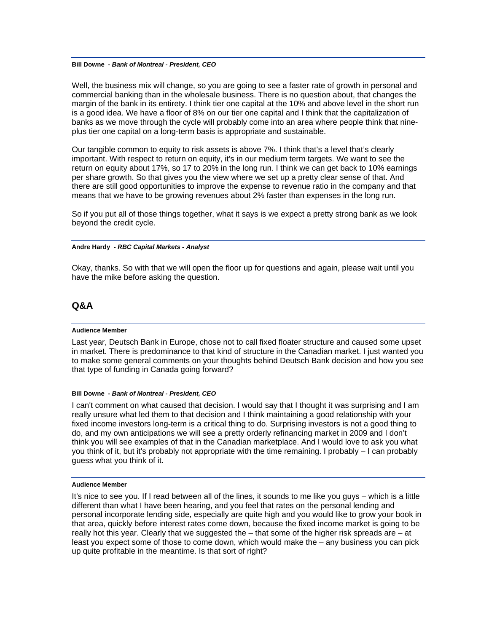#### **Bill Downe** *- Bank of Montreal - President, CEO*

Well, the business mix will change, so you are going to see a faster rate of growth in personal and commercial banking than in the wholesale business. There is no question about, that changes the margin of the bank in its entirety. I think tier one capital at the 10% and above level in the short run is a good idea. We have a floor of 8% on our tier one capital and I think that the capitalization of banks as we move through the cycle will probably come into an area where people think that nineplus tier one capital on a long-term basis is appropriate and sustainable.

Our tangible common to equity to risk assets is above 7%. I think that's a level that's clearly important. With respect to return on equity, it's in our medium term targets. We want to see the return on equity about 17%, so 17 to 20% in the long run. I think we can get back to 10% earnings per share growth. So that gives you the view where we set up a pretty clear sense of that. And there are still good opportunities to improve the expense to revenue ratio in the company and that means that we have to be growing revenues about 2% faster than expenses in the long run.

So if you put all of those things together, what it says is we expect a pretty strong bank as we look beyond the credit cycle.

## **Andre Hardy** *- RBC Capital Markets - Analyst*

Okay, thanks. So with that we will open the floor up for questions and again, please wait until you have the mike before asking the question.

# **Q&A**

## **Audience Member**

Last year, Deutsch Bank in Europe, chose not to call fixed floater structure and caused some upset in market. There is predominance to that kind of structure in the Canadian market. I just wanted you to make some general comments on your thoughts behind Deutsch Bank decision and how you see that type of funding in Canada going forward?

## **Bill Downe** *- Bank of Montreal - President, CEO*

I can't comment on what caused that decision. I would say that I thought it was surprising and I am really unsure what led them to that decision and I think maintaining a good relationship with your fixed income investors long-term is a critical thing to do. Surprising investors is not a good thing to do, and my own anticipations we will see a pretty orderly refinancing market in 2009 and I don't think you will see examples of that in the Canadian marketplace. And I would love to ask you what you think of it, but it's probably not appropriate with the time remaining. I probably – I can probably guess what you think of it.

#### **Audience Member**

It's nice to see you. If I read between all of the lines, it sounds to me like you guys – which is a little different than what I have been hearing, and you feel that rates on the personal lending and personal incorporate lending side, especially are quite high and you would like to grow your book in that area, quickly before interest rates come down, because the fixed income market is going to be really hot this year. Clearly that we suggested the  $-$  that some of the higher risk spreads are  $-$  at least you expect some of those to come down, which would make the – any business you can pick up quite profitable in the meantime. Is that sort of right?